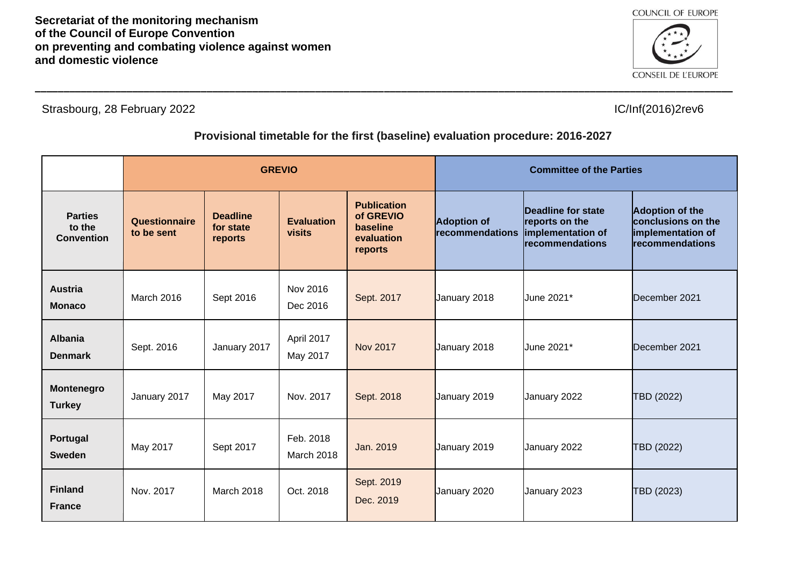

Strasbourg, 28 February 2022 **IC/Inf**(2016)2rev6

## **Provisional timetable for the first (baseline) evaluation procedure: 2016-2027**

|                                               | <b>GREVIO</b>               |                                         |                                    |                                                                      | <b>Committee of the Parties</b>       |                                                                              |                                                                                      |
|-----------------------------------------------|-----------------------------|-----------------------------------------|------------------------------------|----------------------------------------------------------------------|---------------------------------------|------------------------------------------------------------------------------|--------------------------------------------------------------------------------------|
| <b>Parties</b><br>to the<br><b>Convention</b> | Questionnaire<br>to be sent | <b>Deadline</b><br>for state<br>reports | <b>Evaluation</b><br><b>visits</b> | <b>Publication</b><br>of GREVIO<br>baseline<br>evaluation<br>reports | <b>Adoption of</b><br>recommendations | Deadline for state<br>reports on the<br>implementation of<br>recommendations | <b>Adoption of the</b><br>conclusions on the<br>implementation of<br>recommendations |
| <b>Austria</b><br><b>Monaco</b>               | March 2016                  | Sept 2016                               | Nov 2016<br>Dec 2016               | Sept. 2017                                                           | January 2018                          | June 2021*                                                                   | December 2021                                                                        |
| <b>Albania</b><br><b>Denmark</b>              | Sept. 2016                  | January 2017                            | April 2017<br>May 2017             | <b>Nov 2017</b>                                                      | January 2018                          | June 2021*                                                                   | December 2021                                                                        |
| Montenegro<br><b>Turkey</b>                   | January 2017                | May 2017                                | Nov. 2017                          | Sept. 2018                                                           | January 2019                          | January 2022                                                                 | TBD (2022)                                                                           |
| Portugal<br><b>Sweden</b>                     | May 2017                    | Sept 2017                               | Feb. 2018<br>March 2018            | Jan. 2019                                                            | January 2019                          | January 2022                                                                 | TBD (2022)                                                                           |
| <b>Finland</b><br><b>France</b>               | Nov. 2017                   | March 2018                              | Oct. 2018                          | Sept. 2019<br>Dec. 2019                                              | January 2020                          | January 2023                                                                 | TBD (2023)                                                                           |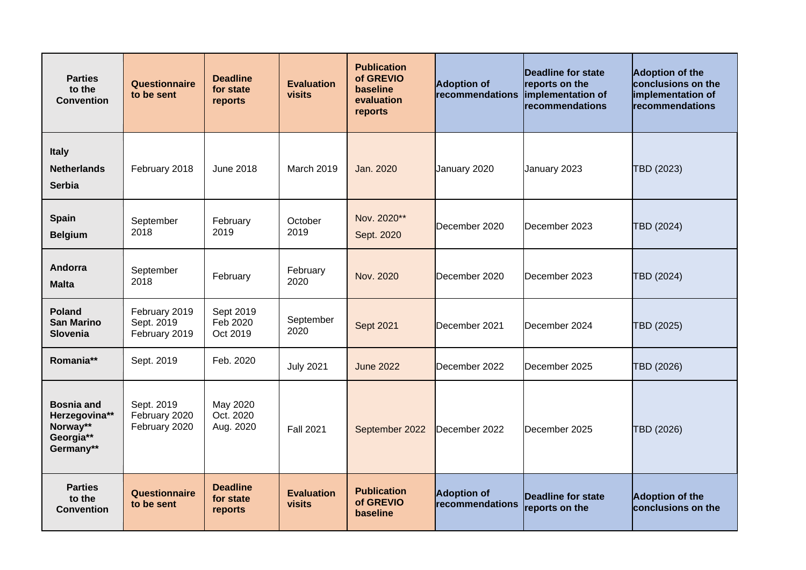| <b>Parties</b><br>to the<br><b>Convention</b>                            | Questionnaire<br>to be sent                  | <b>Deadline</b><br>for state<br>reports | <b>Evaluation</b><br>visits | <b>Publication</b><br>of GREVIO<br><b>baseline</b><br>evaluation<br>reports | <b>Adoption of</b><br>recommendations | Deadline for state<br>reports on the<br>implementation of<br>recommendations | <b>Adoption of the</b><br>conclusions on the<br>implementation of<br>recommendations |
|--------------------------------------------------------------------------|----------------------------------------------|-----------------------------------------|-----------------------------|-----------------------------------------------------------------------------|---------------------------------------|------------------------------------------------------------------------------|--------------------------------------------------------------------------------------|
| <b>Italy</b><br><b>Netherlands</b><br><b>Serbia</b>                      | February 2018                                | <b>June 2018</b>                        | March 2019                  | Jan. 2020                                                                   | January 2020                          | January 2023                                                                 | TBD (2023)                                                                           |
| <b>Spain</b><br><b>Belgium</b>                                           | September<br>2018                            | February<br>2019                        | October<br>2019             | Nov. 2020**<br>Sept. 2020                                                   | December 2020                         | December 2023                                                                | TBD (2024)                                                                           |
| <b>Andorra</b><br><b>Malta</b>                                           | September<br>2018                            | February                                | February<br>2020            | Nov. 2020                                                                   | December 2020                         | December 2023                                                                | TBD (2024)                                                                           |
| <b>Poland</b><br><b>San Marino</b><br><b>Slovenia</b>                    | February 2019<br>Sept. 2019<br>February 2019 | Sept 2019<br>Feb 2020<br>Oct 2019       | September<br>2020           | Sept 2021                                                                   | December 2021                         | December 2024                                                                | TBD (2025)                                                                           |
| Romania**                                                                | Sept. 2019                                   | Feb. 2020                               | <b>July 2021</b>            | <b>June 2022</b>                                                            | December 2022                         | December 2025                                                                | TBD (2026)                                                                           |
| <b>Bosnia and</b><br>Herzegovina**<br>Norway**<br>Georgia**<br>Germany** | Sept. 2019<br>February 2020<br>February 2020 | May 2020<br>Oct. 2020<br>Aug. 2020      | <b>Fall 2021</b>            | September 2022                                                              | December 2022                         | December 2025                                                                | TBD (2026)                                                                           |
| <b>Parties</b><br>to the<br><b>Convention</b>                            | Questionnaire<br>to be sent                  | <b>Deadline</b><br>for state<br>reports | <b>Evaluation</b><br>visits | <b>Publication</b><br>of GREVIO<br>baseline                                 | <b>Adoption of</b><br>recommendations | Deadline for state<br>reports on the                                         | <b>Adoption of the</b><br>conclusions on the                                         |